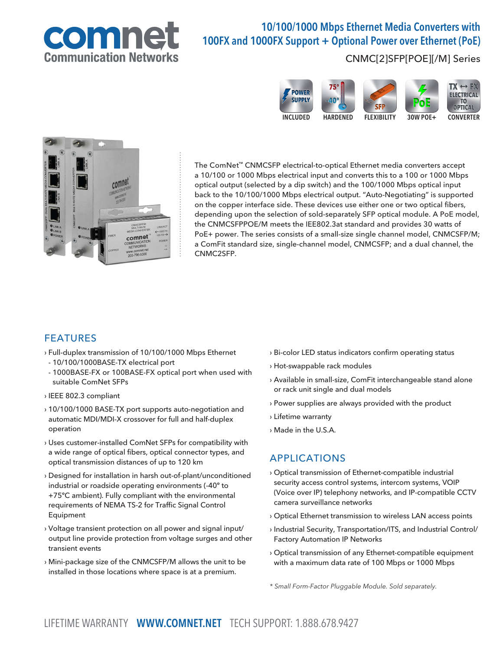

# 10/100/1000 Mbps Ethernet Media Converters with 100FX and 1000FX Support + Optional Power over Ethernet (PoE)

#### CNMC[2]SFP[POE][/M] Series





The ComNet™ CNMCSFP electrical-to-optical Ethernet media converters accept a 10/100 or 1000 Mbps electrical input and converts this to a 100 or 1000 Mbps optical output (selected by a dip switch) and the 100/1000 Mbps optical input back to the 10/100/1000 Mbps electrical output. "Auto-Negotiating" is supported on the copper interface side. These devices use either one or two optical fibers, depending upon the selection of sold-separately SFP optical module. A PoE model, the CNMCSFPPOE/M meets the IEE802.3at standard and provides 30 watts of PoE+ power. The series consists of a small-size single channel model, CNMCSFP/M; a ComFit standard size, single-channel model, CNMCSFP; and a dual channel, the CNMC2SFP.

#### FEATURES

- › Full-duplex transmission of 10/100/1000 Mbps Ethernet
- 10/100/1000BASE-TX electrical port
- 1000BASE-FX or 100BASE-FX optical port when used with suitable ComNet SFPs
- › IEEE 802.3 compliant
- › 10/100/1000 BASE-TX port supports auto-negotiation and automatic MDI/MDI-X crossover for full and half-duplex operation
- › Uses customer-installed ComNet SFPs for compatibility with a wide range of optical fibers, optical connector types, and optical transmission distances of up to 120 km
- › Designed for installation in harsh out-of-plant/unconditioned industrial or roadside operating environments (-40º to +75ºC ambient). Fully compliant with the environmental requirements of NEMA TS-2 for Traffic Signal Control Equipment
- › Voltage transient protection on all power and signal input/ output line provide protection from voltage surges and other transient events
- › Mini-package size of the CNMCSFP/M allows the unit to be installed in those locations where space is at a premium.
- › Bi-color LED status indicators confirm operating status
- › Hot-swappable rack modules
- › Available in small-size, ComFit interchangeable stand alone or rack unit single and dual models
- › Power supplies are always provided with the product
- › Lifetime warranty
- › Made in the U.S.A.

#### APPLICATIONS

- › Optical transmission of Ethernet-compatible industrial security access control systems, intercom systems, VOIP (Voice over IP) telephony networks, and IP-compatible CCTV camera surveillance networks
- › Optical Ethernet transmission to wireless LAN access points
- › Industrial Security, Transportation/ITS, and Industrial Control/ Factory Automation IP Networks
- › Optical transmission of any Ethernet-compatible equipment with a maximum data rate of 100 Mbps or 1000 Mbps

\* Small Form-Factor Pluggable Module. Sold separately.